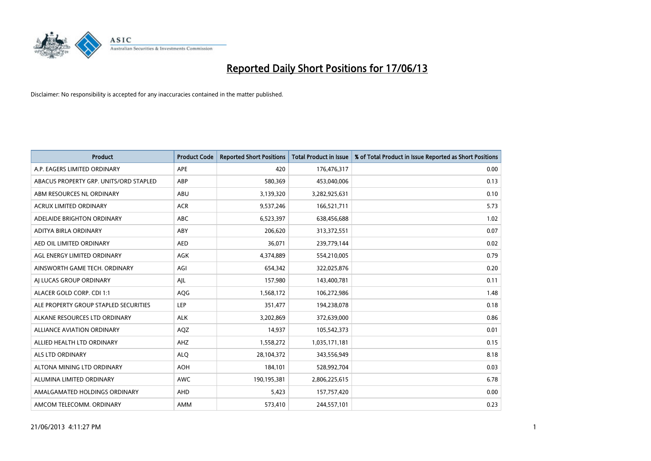

| <b>Product</b>                         | <b>Product Code</b> | <b>Reported Short Positions</b> | <b>Total Product in Issue</b> | % of Total Product in Issue Reported as Short Positions |
|----------------------------------------|---------------------|---------------------------------|-------------------------------|---------------------------------------------------------|
| A.P. EAGERS LIMITED ORDINARY           | <b>APE</b>          | 420                             | 176,476,317                   | 0.00                                                    |
| ABACUS PROPERTY GRP. UNITS/ORD STAPLED | ABP                 | 580,369                         | 453,040,006                   | 0.13                                                    |
| ABM RESOURCES NL ORDINARY              | ABU                 | 3,139,320                       | 3,282,925,631                 | 0.10                                                    |
| <b>ACRUX LIMITED ORDINARY</b>          | <b>ACR</b>          | 9,537,246                       | 166,521,711                   | 5.73                                                    |
| ADELAIDE BRIGHTON ORDINARY             | <b>ABC</b>          | 6,523,397                       | 638,456,688                   | 1.02                                                    |
| ADITYA BIRLA ORDINARY                  | ABY                 | 206,620                         | 313,372,551                   | 0.07                                                    |
| AED OIL LIMITED ORDINARY               | <b>AED</b>          | 36,071                          | 239,779,144                   | 0.02                                                    |
| AGL ENERGY LIMITED ORDINARY            | AGK                 | 4,374,889                       | 554,210,005                   | 0.79                                                    |
| AINSWORTH GAME TECH. ORDINARY          | AGI                 | 654,342                         | 322,025,876                   | 0.20                                                    |
| AI LUCAS GROUP ORDINARY                | AJL                 | 157,980                         | 143,400,781                   | 0.11                                                    |
| ALACER GOLD CORP. CDI 1:1              | AQG                 | 1,568,172                       | 106,272,986                   | 1.48                                                    |
| ALE PROPERTY GROUP STAPLED SECURITIES  | <b>LEP</b>          | 351,477                         | 194,238,078                   | 0.18                                                    |
| ALKANE RESOURCES LTD ORDINARY          | <b>ALK</b>          | 3,202,869                       | 372,639,000                   | 0.86                                                    |
| <b>ALLIANCE AVIATION ORDINARY</b>      | AQZ                 | 14,937                          | 105,542,373                   | 0.01                                                    |
| ALLIED HEALTH LTD ORDINARY             | AHZ                 | 1,558,272                       | 1,035,171,181                 | 0.15                                                    |
| ALS LTD ORDINARY                       | <b>ALO</b>          | 28,104,372                      | 343,556,949                   | 8.18                                                    |
| ALTONA MINING LTD ORDINARY             | <b>AOH</b>          | 184,101                         | 528,992,704                   | 0.03                                                    |
| ALUMINA LIMITED ORDINARY               | <b>AWC</b>          | 190,195,381                     | 2,806,225,615                 | 6.78                                                    |
| AMALGAMATED HOLDINGS ORDINARY          | AHD                 | 5,423                           | 157,757,420                   | 0.00                                                    |
| AMCOM TELECOMM. ORDINARY               | <b>AMM</b>          | 573,410                         | 244,557,101                   | 0.23                                                    |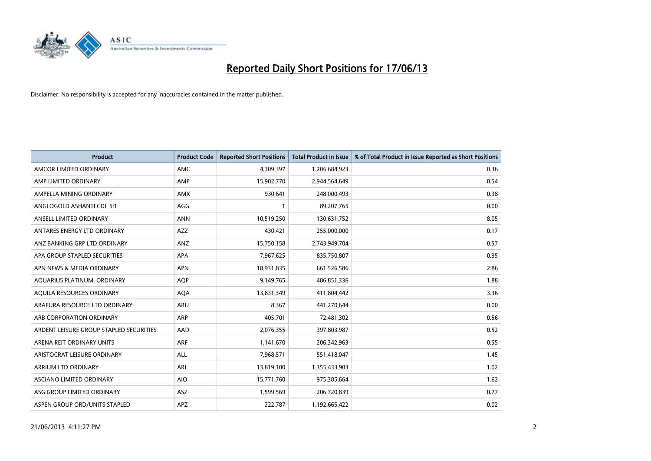

| <b>Product</b>                          | <b>Product Code</b> | <b>Reported Short Positions</b> | <b>Total Product in Issue</b> | % of Total Product in Issue Reported as Short Positions |
|-----------------------------------------|---------------------|---------------------------------|-------------------------------|---------------------------------------------------------|
| AMCOR LIMITED ORDINARY                  | <b>AMC</b>          | 4,309,397                       | 1,206,684,923                 | 0.36                                                    |
| AMP LIMITED ORDINARY                    | AMP                 | 15,902,770                      | 2,944,564,649                 | 0.54                                                    |
| AMPELLA MINING ORDINARY                 | <b>AMX</b>          | 930,641                         | 248,000,493                   | 0.38                                                    |
| ANGLOGOLD ASHANTI CDI 5:1               | AGG                 | 1                               | 89,207,765                    | 0.00                                                    |
| ANSELL LIMITED ORDINARY                 | <b>ANN</b>          | 10,519,250                      | 130,631,752                   | 8.05                                                    |
| ANTARES ENERGY LTD ORDINARY             | <b>AZZ</b>          | 430,421                         | 255,000,000                   | 0.17                                                    |
| ANZ BANKING GRP LTD ORDINARY            | ANZ                 | 15,750,158                      | 2,743,949,704                 | 0.57                                                    |
| APA GROUP STAPLED SECURITIES            | <b>APA</b>          | 7,967,625                       | 835,750,807                   | 0.95                                                    |
| APN NEWS & MEDIA ORDINARY               | <b>APN</b>          | 18,931,835                      | 661,526,586                   | 2.86                                                    |
| AOUARIUS PLATINUM. ORDINARY             | <b>AOP</b>          | 9,149,765                       | 486,851,336                   | 1.88                                                    |
| AQUILA RESOURCES ORDINARY               | AQA                 | 13,831,349                      | 411,804,442                   | 3.36                                                    |
| ARAFURA RESOURCE LTD ORDINARY           | ARU                 | 8,367                           | 441,270,644                   | 0.00                                                    |
| ARB CORPORATION ORDINARY                | <b>ARP</b>          | 405,701                         | 72,481,302                    | 0.56                                                    |
| ARDENT LEISURE GROUP STAPLED SECURITIES | AAD                 | 2,076,355                       | 397,803,987                   | 0.52                                                    |
| ARENA REIT ORDINARY UNITS               | <b>ARF</b>          | 1,141,670                       | 206,342,963                   | 0.55                                                    |
| ARISTOCRAT LEISURE ORDINARY             | ALL                 | 7,968,571                       | 551,418,047                   | 1.45                                                    |
| ARRIUM LTD ORDINARY                     | ARI                 | 13,819,100                      | 1,355,433,903                 | 1.02                                                    |
| ASCIANO LIMITED ORDINARY                | <b>AIO</b>          | 15,771,760                      | 975,385,664                   | 1.62                                                    |
| ASG GROUP LIMITED ORDINARY              | ASZ                 | 1,599,569                       | 206,720,839                   | 0.77                                                    |
| ASPEN GROUP ORD/UNITS STAPLED           | APZ                 | 222,787                         | 1,192,665,422                 | 0.02                                                    |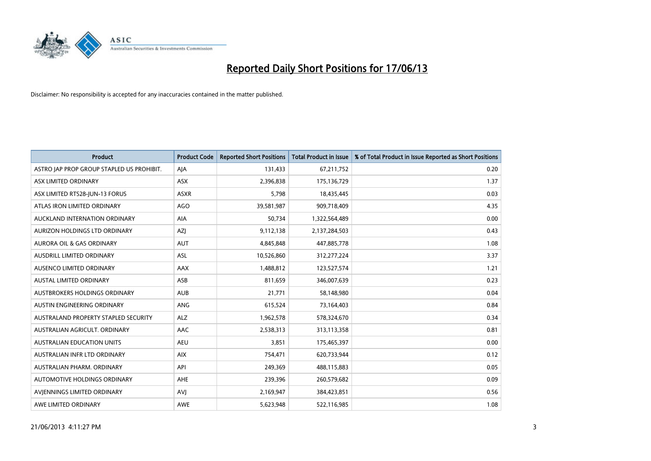

| <b>Product</b>                            | <b>Product Code</b> | <b>Reported Short Positions</b> | <b>Total Product in Issue</b> | % of Total Product in Issue Reported as Short Positions |
|-------------------------------------------|---------------------|---------------------------------|-------------------------------|---------------------------------------------------------|
| ASTRO JAP PROP GROUP STAPLED US PROHIBIT. | AJA                 | 131,433                         | 67,211,752                    | 0.20                                                    |
| ASX LIMITED ORDINARY                      | ASX                 | 2,396,838                       | 175,136,729                   | 1.37                                                    |
| ASX LIMITED RTS28-JUN-13 FORUS            | <b>ASXR</b>         | 5,798                           | 18,435,445                    | 0.03                                                    |
| ATLAS IRON LIMITED ORDINARY               | AGO                 | 39,581,987                      | 909,718,409                   | 4.35                                                    |
| AUCKLAND INTERNATION ORDINARY             | <b>AIA</b>          | 50,734                          | 1,322,564,489                 | 0.00                                                    |
| AURIZON HOLDINGS LTD ORDINARY             | AZJ                 | 9,112,138                       | 2,137,284,503                 | 0.43                                                    |
| AURORA OIL & GAS ORDINARY                 | <b>AUT</b>          | 4,845,848                       | 447,885,778                   | 1.08                                                    |
| AUSDRILL LIMITED ORDINARY                 | ASL                 | 10,526,860                      | 312,277,224                   | 3.37                                                    |
| AUSENCO LIMITED ORDINARY                  | AAX                 | 1,488,812                       | 123,527,574                   | 1.21                                                    |
| <b>AUSTAL LIMITED ORDINARY</b>            | ASB                 | 811,659                         | 346,007,639                   | 0.23                                                    |
| AUSTBROKERS HOLDINGS ORDINARY             | <b>AUB</b>          | 21,771                          | 58,148,980                    | 0.04                                                    |
| AUSTIN ENGINEERING ORDINARY               | ANG                 | 615,524                         | 73,164,403                    | 0.84                                                    |
| AUSTRALAND PROPERTY STAPLED SECURITY      | <b>ALZ</b>          | 1,962,578                       | 578,324,670                   | 0.34                                                    |
| AUSTRALIAN AGRICULT, ORDINARY             | AAC                 | 2,538,313                       | 313,113,358                   | 0.81                                                    |
| <b>AUSTRALIAN EDUCATION UNITS</b>         | <b>AEU</b>          | 3,851                           | 175,465,397                   | 0.00                                                    |
| AUSTRALIAN INFR LTD ORDINARY              | <b>AIX</b>          | 754,471                         | 620,733,944                   | 0.12                                                    |
| AUSTRALIAN PHARM, ORDINARY                | API                 | 249,369                         | 488,115,883                   | 0.05                                                    |
| AUTOMOTIVE HOLDINGS ORDINARY              | AHE                 | 239,396                         | 260,579,682                   | 0.09                                                    |
| AVIENNINGS LIMITED ORDINARY               | <b>AVI</b>          | 2,169,947                       | 384,423,851                   | 0.56                                                    |
| AWE LIMITED ORDINARY                      | <b>AWE</b>          | 5,623,948                       | 522,116,985                   | 1.08                                                    |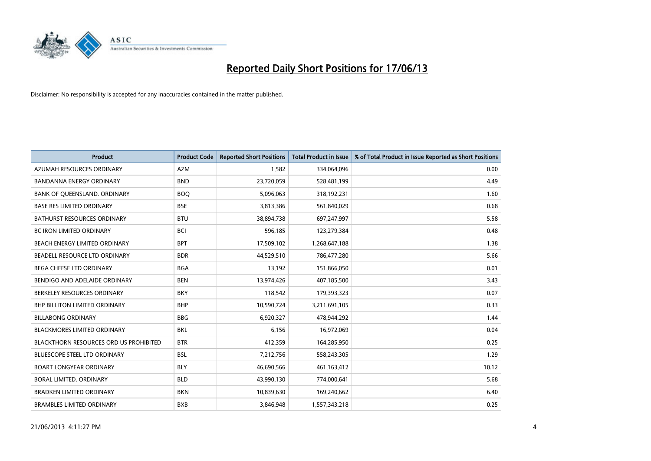

| <b>Product</b>                                | <b>Product Code</b> | <b>Reported Short Positions</b> | <b>Total Product in Issue</b> | % of Total Product in Issue Reported as Short Positions |
|-----------------------------------------------|---------------------|---------------------------------|-------------------------------|---------------------------------------------------------|
| AZUMAH RESOURCES ORDINARY                     | <b>AZM</b>          | 1,582                           | 334,064,096                   | 0.00                                                    |
| BANDANNA ENERGY ORDINARY                      | <b>BND</b>          | 23,720,059                      | 528,481,199                   | 4.49                                                    |
| BANK OF QUEENSLAND. ORDINARY                  | <b>BOQ</b>          | 5,096,063                       | 318,192,231                   | 1.60                                                    |
| <b>BASE RES LIMITED ORDINARY</b>              | <b>BSE</b>          | 3,813,386                       | 561,840,029                   | 0.68                                                    |
| <b>BATHURST RESOURCES ORDINARY</b>            | <b>BTU</b>          | 38,894,738                      | 697,247,997                   | 5.58                                                    |
| <b>BC IRON LIMITED ORDINARY</b>               | <b>BCI</b>          | 596,185                         | 123,279,384                   | 0.48                                                    |
| <b>BEACH ENERGY LIMITED ORDINARY</b>          | <b>BPT</b>          | 17,509,102                      | 1,268,647,188                 | 1.38                                                    |
| BEADELL RESOURCE LTD ORDINARY                 | <b>BDR</b>          | 44,529,510                      | 786,477,280                   | 5.66                                                    |
| BEGA CHEESE LTD ORDINARY                      | <b>BGA</b>          | 13,192                          | 151,866,050                   | 0.01                                                    |
| BENDIGO AND ADELAIDE ORDINARY                 | <b>BEN</b>          | 13,974,426                      | 407,185,500                   | 3.43                                                    |
| BERKELEY RESOURCES ORDINARY                   | <b>BKY</b>          | 118,542                         | 179,393,323                   | 0.07                                                    |
| <b>BHP BILLITON LIMITED ORDINARY</b>          | <b>BHP</b>          | 10,590,724                      | 3,211,691,105                 | 0.33                                                    |
| <b>BILLABONG ORDINARY</b>                     | <b>BBG</b>          | 6,920,327                       | 478,944,292                   | 1.44                                                    |
| <b>BLACKMORES LIMITED ORDINARY</b>            | BKL                 | 6,156                           | 16,972,069                    | 0.04                                                    |
| <b>BLACKTHORN RESOURCES ORD US PROHIBITED</b> | <b>BTR</b>          | 412,359                         | 164,285,950                   | 0.25                                                    |
| BLUESCOPE STEEL LTD ORDINARY                  | <b>BSL</b>          | 7,212,756                       | 558,243,305                   | 1.29                                                    |
| <b>BOART LONGYEAR ORDINARY</b>                | <b>BLY</b>          | 46,690,566                      | 461,163,412                   | 10.12                                                   |
| BORAL LIMITED. ORDINARY                       | <b>BLD</b>          | 43,990,130                      | 774,000,641                   | 5.68                                                    |
| <b>BRADKEN LIMITED ORDINARY</b>               | <b>BKN</b>          | 10,839,630                      | 169,240,662                   | 6.40                                                    |
| <b>BRAMBLES LIMITED ORDINARY</b>              | <b>BXB</b>          | 3,846,948                       | 1,557,343,218                 | 0.25                                                    |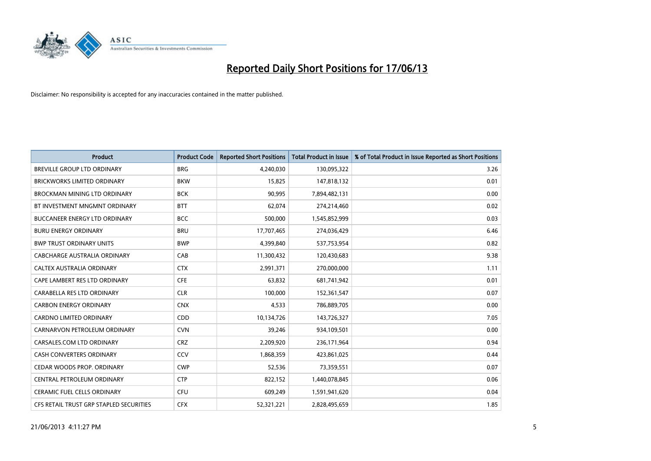

| <b>Product</b>                          | <b>Product Code</b> | <b>Reported Short Positions</b> | <b>Total Product in Issue</b> | % of Total Product in Issue Reported as Short Positions |
|-----------------------------------------|---------------------|---------------------------------|-------------------------------|---------------------------------------------------------|
| <b>BREVILLE GROUP LTD ORDINARY</b>      | <b>BRG</b>          | 4,240,030                       | 130,095,322                   | 3.26                                                    |
| <b>BRICKWORKS LIMITED ORDINARY</b>      | <b>BKW</b>          | 15,825                          | 147,818,132                   | 0.01                                                    |
| BROCKMAN MINING LTD ORDINARY            | <b>BCK</b>          | 90,995                          | 7,894,482,131                 | 0.00                                                    |
| BT INVESTMENT MNGMNT ORDINARY           | <b>BTT</b>          | 62,074                          | 274,214,460                   | 0.02                                                    |
| <b>BUCCANEER ENERGY LTD ORDINARY</b>    | <b>BCC</b>          | 500,000                         | 1,545,852,999                 | 0.03                                                    |
| <b>BURU ENERGY ORDINARY</b>             | <b>BRU</b>          | 17,707,465                      | 274,036,429                   | 6.46                                                    |
| <b>BWP TRUST ORDINARY UNITS</b>         | <b>BWP</b>          | 4,399,840                       | 537,753,954                   | 0.82                                                    |
| CABCHARGE AUSTRALIA ORDINARY            | CAB                 | 11,300,432                      | 120,430,683                   | 9.38                                                    |
| CALTEX AUSTRALIA ORDINARY               | <b>CTX</b>          | 2,991,371                       | 270,000,000                   | 1.11                                                    |
| CAPE LAMBERT RES LTD ORDINARY           | <b>CFE</b>          | 63,832                          | 681,741,942                   | 0.01                                                    |
| CARABELLA RES LTD ORDINARY              | <b>CLR</b>          | 100,000                         | 152,361,547                   | 0.07                                                    |
| <b>CARBON ENERGY ORDINARY</b>           | <b>CNX</b>          | 4,533                           | 786,889,705                   | 0.00                                                    |
| CARDNO LIMITED ORDINARY                 | CDD                 | 10,134,726                      | 143,726,327                   | 7.05                                                    |
| CARNARVON PETROLEUM ORDINARY            | <b>CVN</b>          | 39,246                          | 934,109,501                   | 0.00                                                    |
| CARSALES.COM LTD ORDINARY               | <b>CRZ</b>          | 2,209,920                       | 236,171,964                   | 0.94                                                    |
| CASH CONVERTERS ORDINARY                | CCV                 | 1,868,359                       | 423,861,025                   | 0.44                                                    |
| CEDAR WOODS PROP. ORDINARY              | <b>CWP</b>          | 52,536                          | 73,359,551                    | 0.07                                                    |
| CENTRAL PETROLEUM ORDINARY              | <b>CTP</b>          | 822,152                         | 1,440,078,845                 | 0.06                                                    |
| <b>CERAMIC FUEL CELLS ORDINARY</b>      | <b>CFU</b>          | 609,249                         | 1,591,941,620                 | 0.04                                                    |
| CFS RETAIL TRUST GRP STAPLED SECURITIES | <b>CFX</b>          | 52,321,221                      | 2,828,495,659                 | 1.85                                                    |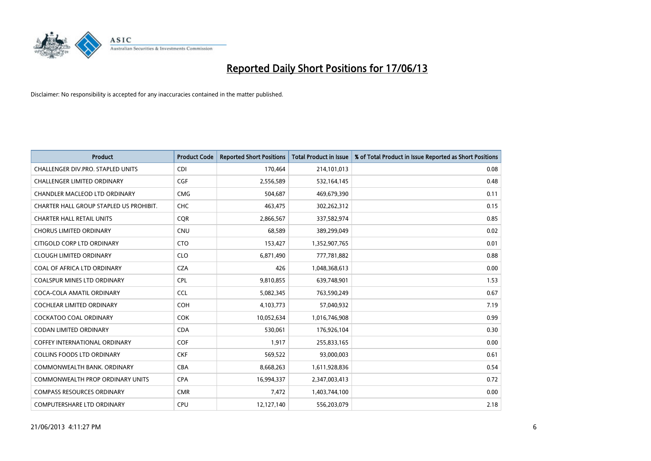

| <b>Product</b>                          | <b>Product Code</b> | <b>Reported Short Positions</b> | <b>Total Product in Issue</b> | % of Total Product in Issue Reported as Short Positions |
|-----------------------------------------|---------------------|---------------------------------|-------------------------------|---------------------------------------------------------|
| CHALLENGER DIV.PRO. STAPLED UNITS       | <b>CDI</b>          | 170,464                         | 214,101,013                   | 0.08                                                    |
| <b>CHALLENGER LIMITED ORDINARY</b>      | <b>CGF</b>          | 2,556,589                       | 532,164,145                   | 0.48                                                    |
| CHANDLER MACLEOD LTD ORDINARY           | <b>CMG</b>          | 504,687                         | 469,679,390                   | 0.11                                                    |
| CHARTER HALL GROUP STAPLED US PROHIBIT. | <b>CHC</b>          | 463,475                         | 302,262,312                   | 0.15                                                    |
| <b>CHARTER HALL RETAIL UNITS</b>        | <b>COR</b>          | 2,866,567                       | 337,582,974                   | 0.85                                                    |
| <b>CHORUS LIMITED ORDINARY</b>          | <b>CNU</b>          | 68,589                          | 389,299,049                   | 0.02                                                    |
| CITIGOLD CORP LTD ORDINARY              | <b>CTO</b>          | 153,427                         | 1,352,907,765                 | 0.01                                                    |
| <b>CLOUGH LIMITED ORDINARY</b>          | <b>CLO</b>          | 6,871,490                       | 777,781,882                   | 0.88                                                    |
| COAL OF AFRICA LTD ORDINARY             | <b>CZA</b>          | 426                             | 1,048,368,613                 | 0.00                                                    |
| <b>COALSPUR MINES LTD ORDINARY</b>      | <b>CPL</b>          | 9,810,855                       | 639,748,901                   | 1.53                                                    |
| COCA-COLA AMATIL ORDINARY               | <b>CCL</b>          | 5,082,345                       | 763,590,249                   | 0.67                                                    |
| <b>COCHLEAR LIMITED ORDINARY</b>        | <b>COH</b>          | 4,103,773                       | 57,040,932                    | 7.19                                                    |
| <b>COCKATOO COAL ORDINARY</b>           | COK                 | 10,052,634                      | 1,016,746,908                 | 0.99                                                    |
| <b>CODAN LIMITED ORDINARY</b>           | <b>CDA</b>          | 530,061                         | 176,926,104                   | 0.30                                                    |
| <b>COFFEY INTERNATIONAL ORDINARY</b>    | <b>COF</b>          | 1,917                           | 255,833,165                   | 0.00                                                    |
| <b>COLLINS FOODS LTD ORDINARY</b>       | <b>CKF</b>          | 569,522                         | 93,000,003                    | 0.61                                                    |
| COMMONWEALTH BANK, ORDINARY             | <b>CBA</b>          | 8,668,263                       | 1,611,928,836                 | 0.54                                                    |
| COMMONWEALTH PROP ORDINARY UNITS        | <b>CPA</b>          | 16,994,337                      | 2,347,003,413                 | 0.72                                                    |
| <b>COMPASS RESOURCES ORDINARY</b>       | <b>CMR</b>          | 7,472                           | 1,403,744,100                 | 0.00                                                    |
| <b>COMPUTERSHARE LTD ORDINARY</b>       | <b>CPU</b>          | 12,127,140                      | 556,203,079                   | 2.18                                                    |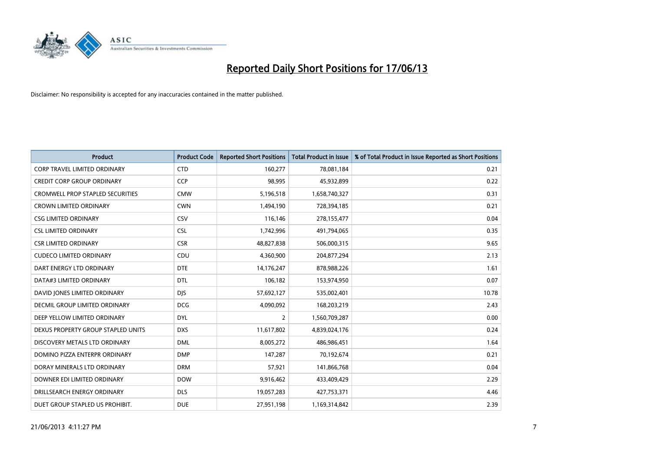

| <b>Product</b>                          | <b>Product Code</b> | <b>Reported Short Positions</b> | <b>Total Product in Issue</b> | % of Total Product in Issue Reported as Short Positions |
|-----------------------------------------|---------------------|---------------------------------|-------------------------------|---------------------------------------------------------|
| CORP TRAVEL LIMITED ORDINARY            | <b>CTD</b>          | 160,277                         | 78,081,184                    | 0.21                                                    |
| <b>CREDIT CORP GROUP ORDINARY</b>       | <b>CCP</b>          | 98,995                          | 45,932,899                    | 0.22                                                    |
| <b>CROMWELL PROP STAPLED SECURITIES</b> | <b>CMW</b>          | 5,196,518                       | 1,658,740,327                 | 0.31                                                    |
| CROWN LIMITED ORDINARY                  | <b>CWN</b>          | 1,494,190                       | 728,394,185                   | 0.21                                                    |
| <b>CSG LIMITED ORDINARY</b>             | CSV                 | 116,146                         | 278,155,477                   | 0.04                                                    |
| <b>CSL LIMITED ORDINARY</b>             | <b>CSL</b>          | 1,742,996                       | 491,794,065                   | 0.35                                                    |
| <b>CSR LIMITED ORDINARY</b>             | <b>CSR</b>          | 48,827,838                      | 506,000,315                   | 9.65                                                    |
| <b>CUDECO LIMITED ORDINARY</b>          | CDU                 | 4,360,900                       | 204,877,294                   | 2.13                                                    |
| DART ENERGY LTD ORDINARY                | <b>DTE</b>          | 14,176,247                      | 878,988,226                   | 1.61                                                    |
| DATA#3 LIMITED ORDINARY                 | <b>DTL</b>          | 106,182                         | 153,974,950                   | 0.07                                                    |
| DAVID JONES LIMITED ORDINARY            | <b>DJS</b>          | 57,692,127                      | 535,002,401                   | 10.78                                                   |
| <b>DECMIL GROUP LIMITED ORDINARY</b>    | <b>DCG</b>          | 4,090,092                       | 168,203,219                   | 2.43                                                    |
| DEEP YELLOW LIMITED ORDINARY            | <b>DYL</b>          | $\overline{2}$                  | 1,560,709,287                 | 0.00                                                    |
| DEXUS PROPERTY GROUP STAPLED UNITS      | <b>DXS</b>          | 11,617,802                      | 4,839,024,176                 | 0.24                                                    |
| DISCOVERY METALS LTD ORDINARY           | <b>DML</b>          | 8,005,272                       | 486,986,451                   | 1.64                                                    |
| DOMINO PIZZA ENTERPR ORDINARY           | <b>DMP</b>          | 147,287                         | 70,192,674                    | 0.21                                                    |
| DORAY MINERALS LTD ORDINARY             | <b>DRM</b>          | 57,921                          | 141,866,768                   | 0.04                                                    |
| DOWNER EDI LIMITED ORDINARY             | <b>DOW</b>          | 9,916,462                       | 433,409,429                   | 2.29                                                    |
| DRILLSEARCH ENERGY ORDINARY             | <b>DLS</b>          | 19,057,283                      | 427,753,371                   | 4.46                                                    |
| DUET GROUP STAPLED US PROHIBIT.         | <b>DUE</b>          | 27,951,198                      | 1,169,314,842                 | 2.39                                                    |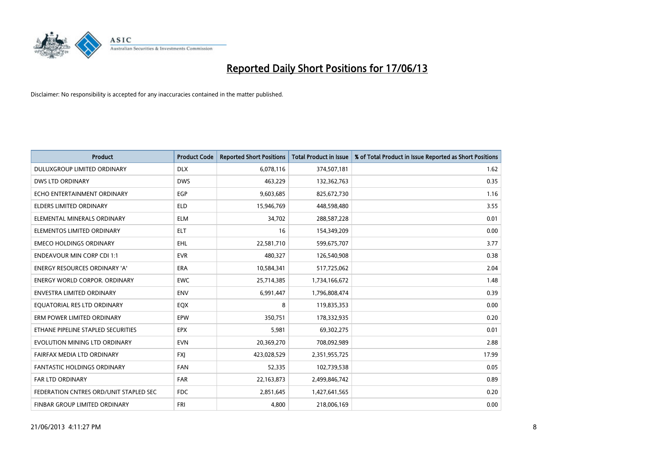

| <b>Product</b>                         | <b>Product Code</b> | <b>Reported Short Positions</b> | <b>Total Product in Issue</b> | % of Total Product in Issue Reported as Short Positions |
|----------------------------------------|---------------------|---------------------------------|-------------------------------|---------------------------------------------------------|
| DULUXGROUP LIMITED ORDINARY            | <b>DLX</b>          | 6,078,116                       | 374,507,181                   | 1.62                                                    |
| DWS LTD ORDINARY                       | <b>DWS</b>          | 463,229                         | 132,362,763                   | 0.35                                                    |
| ECHO ENTERTAINMENT ORDINARY            | <b>EGP</b>          | 9,603,685                       | 825,672,730                   | 1.16                                                    |
| <b>ELDERS LIMITED ORDINARY</b>         | <b>ELD</b>          | 15,946,769                      | 448,598,480                   | 3.55                                                    |
| ELEMENTAL MINERALS ORDINARY            | <b>ELM</b>          | 34,702                          | 288,587,228                   | 0.01                                                    |
| ELEMENTOS LIMITED ORDINARY             | <b>ELT</b>          | 16                              | 154,349,209                   | 0.00                                                    |
| <b>EMECO HOLDINGS ORDINARY</b>         | <b>EHL</b>          | 22,581,710                      | 599,675,707                   | 3.77                                                    |
| <b>ENDEAVOUR MIN CORP CDI 1:1</b>      | <b>EVR</b>          | 480,327                         | 126,540,908                   | 0.38                                                    |
| <b>ENERGY RESOURCES ORDINARY 'A'</b>   | <b>ERA</b>          | 10,584,341                      | 517,725,062                   | 2.04                                                    |
| <b>ENERGY WORLD CORPOR, ORDINARY</b>   | <b>EWC</b>          | 25,714,385                      | 1,734,166,672                 | 1.48                                                    |
| ENVESTRA LIMITED ORDINARY              | <b>ENV</b>          | 6,991,447                       | 1,796,808,474                 | 0.39                                                    |
| EQUATORIAL RES LTD ORDINARY            | EQX                 | 8                               | 119,835,353                   | 0.00                                                    |
| ERM POWER LIMITED ORDINARY             | <b>EPW</b>          | 350,751                         | 178,332,935                   | 0.20                                                    |
| ETHANE PIPELINE STAPLED SECURITIES     | <b>EPX</b>          | 5,981                           | 69,302,275                    | 0.01                                                    |
| EVOLUTION MINING LTD ORDINARY          | <b>EVN</b>          | 20,369,270                      | 708,092,989                   | 2.88                                                    |
| FAIRFAX MEDIA LTD ORDINARY             | <b>FXI</b>          | 423,028,529                     | 2,351,955,725                 | 17.99                                                   |
| FANTASTIC HOLDINGS ORDINARY            | <b>FAN</b>          | 52,335                          | 102,739,538                   | 0.05                                                    |
| <b>FAR LTD ORDINARY</b>                | <b>FAR</b>          | 22,163,873                      | 2,499,846,742                 | 0.89                                                    |
| FEDERATION CNTRES ORD/UNIT STAPLED SEC | <b>FDC</b>          | 2,851,645                       | 1,427,641,565                 | 0.20                                                    |
| <b>FINBAR GROUP LIMITED ORDINARY</b>   | <b>FRI</b>          | 4,800                           | 218,006,169                   | 0.00                                                    |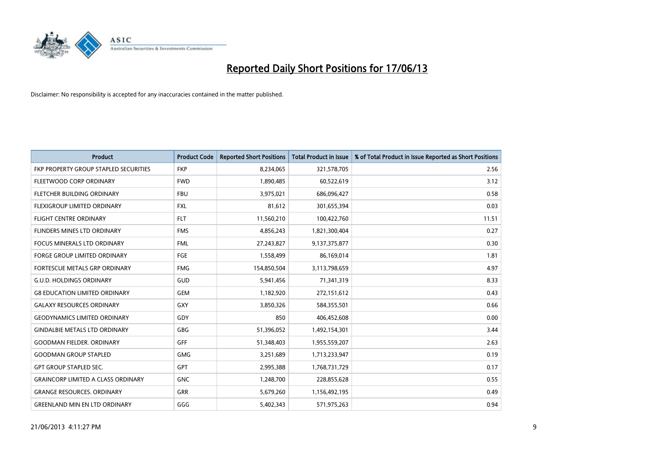

| Product                                   | <b>Product Code</b> | <b>Reported Short Positions</b> | <b>Total Product in Issue</b> | % of Total Product in Issue Reported as Short Positions |
|-------------------------------------------|---------------------|---------------------------------|-------------------------------|---------------------------------------------------------|
| FKP PROPERTY GROUP STAPLED SECURITIES     | <b>FKP</b>          | 8,234,065                       | 321,578,705                   | 2.56                                                    |
| FLEETWOOD CORP ORDINARY                   | <b>FWD</b>          | 1,890,485                       | 60,522,619                    | 3.12                                                    |
| FLETCHER BUILDING ORDINARY                | <b>FBU</b>          | 3,975,021                       | 686,096,427                   | 0.58                                                    |
| FLEXIGROUP LIMITED ORDINARY               | <b>FXL</b>          | 81,612                          | 301,655,394                   | 0.03                                                    |
| <b>FLIGHT CENTRE ORDINARY</b>             | <b>FLT</b>          | 11,560,210                      | 100,422,760                   | 11.51                                                   |
| FLINDERS MINES LTD ORDINARY               | <b>FMS</b>          | 4,856,243                       | 1,821,300,404                 | 0.27                                                    |
| <b>FOCUS MINERALS LTD ORDINARY</b>        | <b>FML</b>          | 27,243,827                      | 9,137,375,877                 | 0.30                                                    |
| <b>FORGE GROUP LIMITED ORDINARY</b>       | FGE                 | 1,558,499                       | 86,169,014                    | 1.81                                                    |
| FORTESCUE METALS GRP ORDINARY             | <b>FMG</b>          | 154,850,504                     | 3,113,798,659                 | 4.97                                                    |
| <b>G.U.D. HOLDINGS ORDINARY</b>           | GUD                 | 5,941,456                       | 71,341,319                    | 8.33                                                    |
| <b>G8 EDUCATION LIMITED ORDINARY</b>      | <b>GEM</b>          | 1,182,920                       | 272,151,612                   | 0.43                                                    |
| <b>GALAXY RESOURCES ORDINARY</b>          | GXY                 | 3,850,326                       | 584,355,501                   | 0.66                                                    |
| <b>GEODYNAMICS LIMITED ORDINARY</b>       | GDY                 | 850                             | 406,452,608                   | 0.00                                                    |
| <b>GINDALBIE METALS LTD ORDINARY</b>      | GBG                 | 51,396,052                      | 1,492,154,301                 | 3.44                                                    |
| <b>GOODMAN FIELDER, ORDINARY</b>          | GFF                 | 51,348,403                      | 1,955,559,207                 | 2.63                                                    |
| <b>GOODMAN GROUP STAPLED</b>              | GMG                 | 3,251,689                       | 1,713,233,947                 | 0.19                                                    |
| <b>GPT GROUP STAPLED SEC.</b>             | <b>GPT</b>          | 2,995,388                       | 1,768,731,729                 | 0.17                                                    |
| <b>GRAINCORP LIMITED A CLASS ORDINARY</b> | <b>GNC</b>          | 1,248,700                       | 228,855,628                   | 0.55                                                    |
| <b>GRANGE RESOURCES, ORDINARY</b>         | GRR                 | 5,679,260                       | 1,156,492,195                 | 0.49                                                    |
| <b>GREENLAND MIN EN LTD ORDINARY</b>      | GGG                 | 5,402,343                       | 571,975,263                   | 0.94                                                    |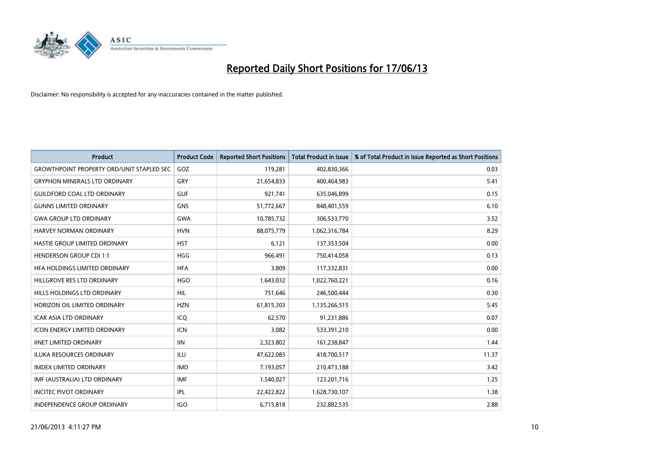

| <b>Product</b>                                    | <b>Product Code</b> | <b>Reported Short Positions</b> | <b>Total Product in Issue</b> | % of Total Product in Issue Reported as Short Positions |
|---------------------------------------------------|---------------------|---------------------------------|-------------------------------|---------------------------------------------------------|
| <b>GROWTHPOINT PROPERTY ORD/UNIT STAPLED SEC.</b> | GOZ                 | 119,281                         | 402,830,366                   | 0.03                                                    |
| <b>GRYPHON MINERALS LTD ORDINARY</b>              | GRY                 | 21,654,833                      | 400,464,983                   | 5.41                                                    |
| <b>GUILDFORD COAL LTD ORDINARY</b>                | <b>GUF</b>          | 921,741                         | 635,046,899                   | 0.15                                                    |
| <b>GUNNS LIMITED ORDINARY</b>                     | <b>GNS</b>          | 51,772,667                      | 848,401,559                   | 6.10                                                    |
| <b>GWA GROUP LTD ORDINARY</b>                     | <b>GWA</b>          | 10,785,732                      | 306,533,770                   | 3.52                                                    |
| <b>HARVEY NORMAN ORDINARY</b>                     | <b>HVN</b>          | 88,075,779                      | 1,062,316,784                 | 8.29                                                    |
| HASTIE GROUP LIMITED ORDINARY                     | <b>HST</b>          | 6.121                           | 137,353,504                   | 0.00                                                    |
| <b>HENDERSON GROUP CDI 1:1</b>                    | <b>HGG</b>          | 966,491                         | 750,414,058                   | 0.13                                                    |
| HFA HOLDINGS LIMITED ORDINARY                     | <b>HFA</b>          | 3,809                           | 117,332,831                   | 0.00                                                    |
| HILLGROVE RES LTD ORDINARY                        | <b>HGO</b>          | 1,643,032                       | 1,022,760,221                 | 0.16                                                    |
| HILLS HOLDINGS LTD ORDINARY                       | HIL                 | 751,646                         | 246,500,444                   | 0.30                                                    |
| HORIZON OIL LIMITED ORDINARY                      | <b>HZN</b>          | 61,815,303                      | 1,135,266,515                 | 5.45                                                    |
| <b>ICAR ASIA LTD ORDINARY</b>                     | ICQ                 | 62,570                          | 91,231,886                    | 0.07                                                    |
| <b>ICON ENERGY LIMITED ORDINARY</b>               | <b>ICN</b>          | 3,082                           | 533,391,210                   | 0.00                                                    |
| <b>IINET LIMITED ORDINARY</b>                     | <b>IIN</b>          | 2,323,802                       | 161,238,847                   | 1.44                                                    |
| ILUKA RESOURCES ORDINARY                          | ILU                 | 47,622,083                      | 418,700,517                   | 11.37                                                   |
| <b>IMDEX LIMITED ORDINARY</b>                     | <b>IMD</b>          | 7,193,057                       | 210,473,188                   | 3.42                                                    |
| IMF (AUSTRALIA) LTD ORDINARY                      | <b>IMF</b>          | 1,540,027                       | 123,201,716                   | 1.25                                                    |
| <b>INCITEC PIVOT ORDINARY</b>                     | IPL                 | 22,422,822                      | 1,628,730,107                 | 1.38                                                    |
| <b>INDEPENDENCE GROUP ORDINARY</b>                | <b>IGO</b>          | 6,715,818                       | 232,882,535                   | 2.88                                                    |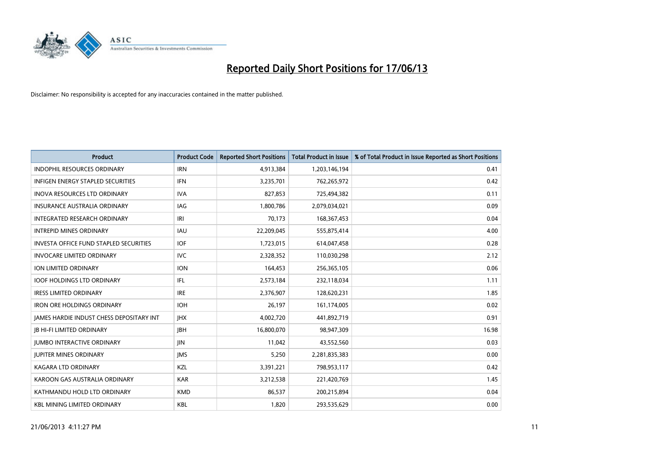

| <b>Product</b>                                | <b>Product Code</b> | <b>Reported Short Positions</b> | <b>Total Product in Issue</b> | % of Total Product in Issue Reported as Short Positions |
|-----------------------------------------------|---------------------|---------------------------------|-------------------------------|---------------------------------------------------------|
| <b>INDOPHIL RESOURCES ORDINARY</b>            | <b>IRN</b>          | 4,913,384                       | 1,203,146,194                 | 0.41                                                    |
| INFIGEN ENERGY STAPLED SECURITIES             | <b>IFN</b>          | 3,235,701                       | 762,265,972                   | 0.42                                                    |
| <b>INOVA RESOURCES LTD ORDINARY</b>           | <b>IVA</b>          | 827,853                         | 725,494,382                   | 0.11                                                    |
| <b>INSURANCE AUSTRALIA ORDINARY</b>           | IAG                 | 1,800,786                       | 2,079,034,021                 | 0.09                                                    |
| INTEGRATED RESEARCH ORDINARY                  | IRI                 | 70,173                          | 168, 367, 453                 | 0.04                                                    |
| <b>INTREPID MINES ORDINARY</b>                | <b>IAU</b>          | 22,209,045                      | 555,875,414                   | 4.00                                                    |
| <b>INVESTA OFFICE FUND STAPLED SECURITIES</b> | <b>IOF</b>          | 1,723,015                       | 614,047,458                   | 0.28                                                    |
| <b>INVOCARE LIMITED ORDINARY</b>              | <b>IVC</b>          | 2,328,352                       | 110,030,298                   | 2.12                                                    |
| ION LIMITED ORDINARY                          | <b>ION</b>          | 164,453                         | 256,365,105                   | 0.06                                                    |
| <b>IOOF HOLDINGS LTD ORDINARY</b>             | IFL                 | 2,573,184                       | 232,118,034                   | 1.11                                                    |
| <b>IRESS LIMITED ORDINARY</b>                 | <b>IRE</b>          | 2,376,907                       | 128,620,231                   | 1.85                                                    |
| <b>IRON ORE HOLDINGS ORDINARY</b>             | <b>IOH</b>          | 26,197                          | 161,174,005                   | 0.02                                                    |
| JAMES HARDIE INDUST CHESS DEPOSITARY INT      | <b>IHX</b>          | 4,002,720                       | 441,892,719                   | 0.91                                                    |
| <b>IB HI-FI LIMITED ORDINARY</b>              | <b>IBH</b>          | 16,800,070                      | 98,947,309                    | 16.98                                                   |
| <b>JUMBO INTERACTIVE ORDINARY</b>             | <b>JIN</b>          | 11,042                          | 43,552,560                    | 0.03                                                    |
| <b>JUPITER MINES ORDINARY</b>                 | <b>IMS</b>          | 5,250                           | 2,281,835,383                 | 0.00                                                    |
| <b>KAGARA LTD ORDINARY</b>                    | KZL                 | 3,391,221                       | 798,953,117                   | 0.42                                                    |
| KAROON GAS AUSTRALIA ORDINARY                 | <b>KAR</b>          | 3,212,538                       | 221,420,769                   | 1.45                                                    |
| KATHMANDU HOLD LTD ORDINARY                   | <b>KMD</b>          | 86,537                          | 200,215,894                   | 0.04                                                    |
| <b>KBL MINING LIMITED ORDINARY</b>            | <b>KBL</b>          | 1,820                           | 293,535,629                   | 0.00                                                    |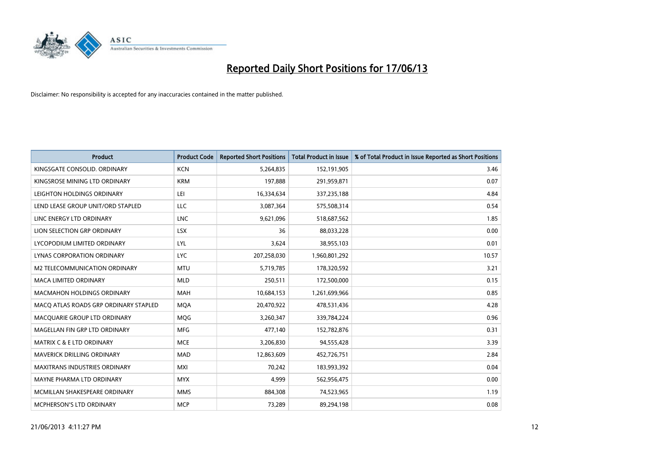

| <b>Product</b>                        | <b>Product Code</b> | <b>Reported Short Positions</b> | <b>Total Product in Issue</b> | % of Total Product in Issue Reported as Short Positions |
|---------------------------------------|---------------------|---------------------------------|-------------------------------|---------------------------------------------------------|
| KINGSGATE CONSOLID. ORDINARY          | <b>KCN</b>          | 5,264,835                       | 152,191,905                   | 3.46                                                    |
| KINGSROSE MINING LTD ORDINARY         | <b>KRM</b>          | 197,888                         | 291,959,871                   | 0.07                                                    |
| LEIGHTON HOLDINGS ORDINARY            | LEI                 | 16,334,634                      | 337,235,188                   | 4.84                                                    |
| LEND LEASE GROUP UNIT/ORD STAPLED     | LLC                 | 3,087,364                       | 575,508,314                   | 0.54                                                    |
| LINC ENERGY LTD ORDINARY              | <b>LNC</b>          | 9,621,096                       | 518,687,562                   | 1.85                                                    |
| LION SELECTION GRP ORDINARY           | <b>LSX</b>          | 36                              | 88,033,228                    | 0.00                                                    |
| LYCOPODIUM LIMITED ORDINARY           | LYL                 | 3,624                           | 38,955,103                    | 0.01                                                    |
| LYNAS CORPORATION ORDINARY            | <b>LYC</b>          | 207,258,030                     | 1,960,801,292                 | 10.57                                                   |
| M2 TELECOMMUNICATION ORDINARY         | <b>MTU</b>          | 5,719,785                       | 178,320,592                   | 3.21                                                    |
| <b>MACA LIMITED ORDINARY</b>          | <b>MLD</b>          | 250,511                         | 172,500,000                   | 0.15                                                    |
| MACMAHON HOLDINGS ORDINARY            | <b>MAH</b>          | 10,684,153                      | 1,261,699,966                 | 0.85                                                    |
| MACO ATLAS ROADS GRP ORDINARY STAPLED | <b>MQA</b>          | 20,470,922                      | 478,531,436                   | 4.28                                                    |
| MACQUARIE GROUP LTD ORDINARY          | MQG                 | 3,260,347                       | 339,784,224                   | 0.96                                                    |
| MAGELLAN FIN GRP LTD ORDINARY         | <b>MFG</b>          | 477,140                         | 152,782,876                   | 0.31                                                    |
| <b>MATRIX C &amp; E LTD ORDINARY</b>  | <b>MCE</b>          | 3,206,830                       | 94,555,428                    | 3.39                                                    |
| MAVERICK DRILLING ORDINARY            | <b>MAD</b>          | 12,863,609                      | 452,726,751                   | 2.84                                                    |
| <b>MAXITRANS INDUSTRIES ORDINARY</b>  | <b>MXI</b>          | 70,242                          | 183,993,392                   | 0.04                                                    |
| MAYNE PHARMA LTD ORDINARY             | <b>MYX</b>          | 4,999                           | 562,956,475                   | 0.00                                                    |
| MCMILLAN SHAKESPEARE ORDINARY         | <b>MMS</b>          | 884,308                         | 74,523,965                    | 1.19                                                    |
| <b>MCPHERSON'S LTD ORDINARY</b>       | <b>MCP</b>          | 73,289                          | 89,294,198                    | 0.08                                                    |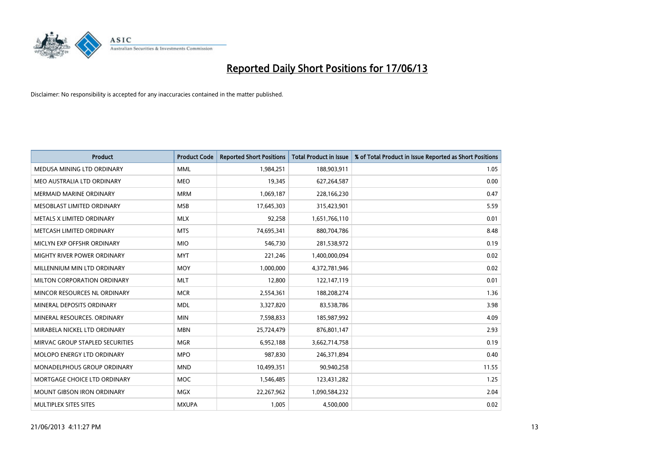

| <b>Product</b>                    | <b>Product Code</b> | <b>Reported Short Positions</b> | <b>Total Product in Issue</b> | % of Total Product in Issue Reported as Short Positions |
|-----------------------------------|---------------------|---------------------------------|-------------------------------|---------------------------------------------------------|
| MEDUSA MINING LTD ORDINARY        | <b>MML</b>          | 1,984,251                       | 188,903,911                   | 1.05                                                    |
| MEO AUSTRALIA LTD ORDINARY        | <b>MEO</b>          | 19,345                          | 627,264,587                   | 0.00                                                    |
| <b>MERMAID MARINE ORDINARY</b>    | <b>MRM</b>          | 1,069,187                       | 228,166,230                   | 0.47                                                    |
| MESOBLAST LIMITED ORDINARY        | <b>MSB</b>          | 17,645,303                      | 315,423,901                   | 5.59                                                    |
| METALS X LIMITED ORDINARY         | <b>MLX</b>          | 92,258                          | 1,651,766,110                 | 0.01                                                    |
| METCASH LIMITED ORDINARY          | <b>MTS</b>          | 74,695,341                      | 880,704,786                   | 8.48                                                    |
| MICLYN EXP OFFSHR ORDINARY        | <b>MIO</b>          | 546,730                         | 281,538,972                   | 0.19                                                    |
| MIGHTY RIVER POWER ORDINARY       | <b>MYT</b>          | 221,246                         | 1,400,000,094                 | 0.02                                                    |
| MILLENNIUM MIN LTD ORDINARY       | <b>MOY</b>          | 1,000,000                       | 4,372,781,946                 | 0.02                                                    |
| MILTON CORPORATION ORDINARY       | <b>MLT</b>          | 12,800                          | 122,147,119                   | 0.01                                                    |
| MINCOR RESOURCES NL ORDINARY      | <b>MCR</b>          | 2,554,361                       | 188,208,274                   | 1.36                                                    |
| MINERAL DEPOSITS ORDINARY         | <b>MDL</b>          | 3,327,820                       | 83,538,786                    | 3.98                                                    |
| MINERAL RESOURCES. ORDINARY       | <b>MIN</b>          | 7,598,833                       | 185,987,992                   | 4.09                                                    |
| MIRABELA NICKEL LTD ORDINARY      | <b>MBN</b>          | 25,724,479                      | 876,801,147                   | 2.93                                                    |
| MIRVAC GROUP STAPLED SECURITIES   | <b>MGR</b>          | 6,952,188                       | 3,662,714,758                 | 0.19                                                    |
| MOLOPO ENERGY LTD ORDINARY        | <b>MPO</b>          | 987,830                         | 246,371,894                   | 0.40                                                    |
| MONADELPHOUS GROUP ORDINARY       | <b>MND</b>          | 10,499,351                      | 90,940,258                    | 11.55                                                   |
| MORTGAGE CHOICE LTD ORDINARY      | <b>MOC</b>          | 1,546,485                       | 123,431,282                   | 1.25                                                    |
| <b>MOUNT GIBSON IRON ORDINARY</b> | <b>MGX</b>          | 22,267,962                      | 1,090,584,232                 | 2.04                                                    |
| MULTIPLEX SITES SITES             | <b>MXUPA</b>        | 1,005                           | 4,500,000                     | 0.02                                                    |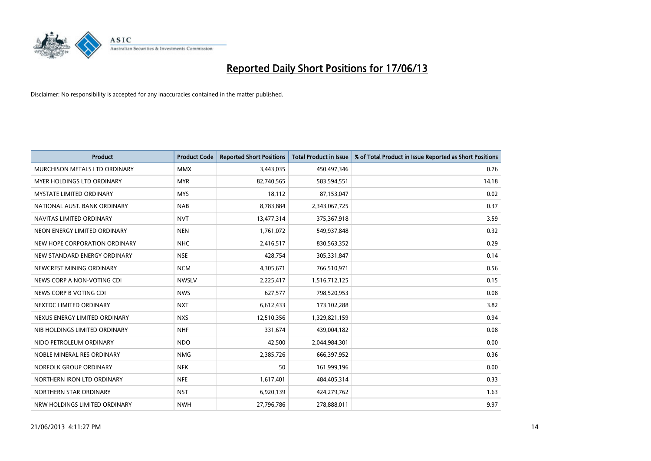

| <b>Product</b>                | <b>Product Code</b> | <b>Reported Short Positions</b> | <b>Total Product in Issue</b> | % of Total Product in Issue Reported as Short Positions |
|-------------------------------|---------------------|---------------------------------|-------------------------------|---------------------------------------------------------|
| MURCHISON METALS LTD ORDINARY | <b>MMX</b>          | 3,443,035                       | 450,497,346                   | 0.76                                                    |
| MYER HOLDINGS LTD ORDINARY    | <b>MYR</b>          | 82,740,565                      | 583,594,551                   | 14.18                                                   |
| MYSTATE LIMITED ORDINARY      | <b>MYS</b>          | 18,112                          | 87,153,047                    | 0.02                                                    |
| NATIONAL AUST, BANK ORDINARY  | <b>NAB</b>          | 8,783,884                       | 2,343,067,725                 | 0.37                                                    |
| NAVITAS LIMITED ORDINARY      | <b>NVT</b>          | 13,477,314                      | 375,367,918                   | 3.59                                                    |
| NEON ENERGY LIMITED ORDINARY  | <b>NEN</b>          | 1,761,072                       | 549,937,848                   | 0.32                                                    |
| NEW HOPE CORPORATION ORDINARY | <b>NHC</b>          | 2,416,517                       | 830,563,352                   | 0.29                                                    |
| NEW STANDARD ENERGY ORDINARY  | <b>NSE</b>          | 428,754                         | 305,331,847                   | 0.14                                                    |
| NEWCREST MINING ORDINARY      | <b>NCM</b>          | 4,305,671                       | 766,510,971                   | 0.56                                                    |
| NEWS CORP A NON-VOTING CDI    | <b>NWSLV</b>        | 2,225,417                       | 1,516,712,125                 | 0.15                                                    |
| NEWS CORP B VOTING CDI        | <b>NWS</b>          | 627,577                         | 798,520,953                   | 0.08                                                    |
| NEXTDC LIMITED ORDINARY       | <b>NXT</b>          | 6,612,433                       | 173,102,288                   | 3.82                                                    |
| NEXUS ENERGY LIMITED ORDINARY | <b>NXS</b>          | 12,510,356                      | 1,329,821,159                 | 0.94                                                    |
| NIB HOLDINGS LIMITED ORDINARY | <b>NHF</b>          | 331,674                         | 439,004,182                   | 0.08                                                    |
| NIDO PETROLEUM ORDINARY       | <b>NDO</b>          | 42,500                          | 2,044,984,301                 | 0.00                                                    |
| NOBLE MINERAL RES ORDINARY    | <b>NMG</b>          | 2,385,726                       | 666,397,952                   | 0.36                                                    |
| NORFOLK GROUP ORDINARY        | <b>NFK</b>          | 50                              | 161,999,196                   | 0.00                                                    |
| NORTHERN IRON LTD ORDINARY    | <b>NFE</b>          | 1,617,401                       | 484,405,314                   | 0.33                                                    |
| NORTHERN STAR ORDINARY        | <b>NST</b>          | 6,920,139                       | 424,279,762                   | 1.63                                                    |
| NRW HOLDINGS LIMITED ORDINARY | <b>NWH</b>          | 27,796,786                      | 278,888,011                   | 9.97                                                    |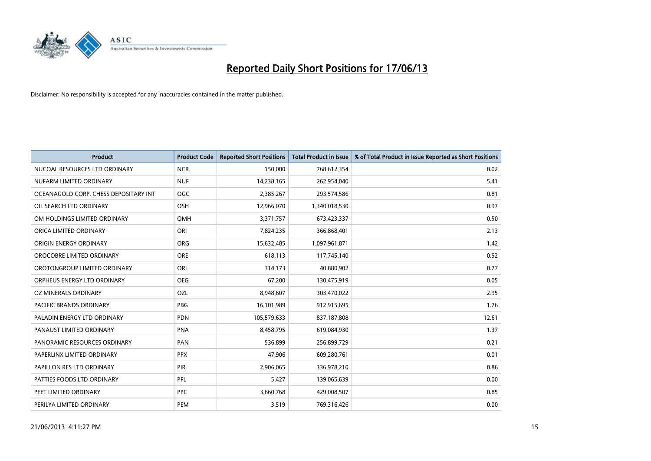

| <b>Product</b>                        | <b>Product Code</b> | <b>Reported Short Positions</b> | <b>Total Product in Issue</b> | % of Total Product in Issue Reported as Short Positions |
|---------------------------------------|---------------------|---------------------------------|-------------------------------|---------------------------------------------------------|
| NUCOAL RESOURCES LTD ORDINARY         | <b>NCR</b>          | 150,000                         | 768,612,354                   | 0.02                                                    |
| NUFARM LIMITED ORDINARY               | <b>NUF</b>          | 14,238,165                      | 262,954,040                   | 5.41                                                    |
| OCEANAGOLD CORP. CHESS DEPOSITARY INT | <b>OGC</b>          | 2,385,267                       | 293,574,586                   | 0.81                                                    |
| OIL SEARCH LTD ORDINARY               | OSH                 | 12,966,070                      | 1,340,018,530                 | 0.97                                                    |
| OM HOLDINGS LIMITED ORDINARY          | OMH                 | 3,371,757                       | 673,423,337                   | 0.50                                                    |
| ORICA LIMITED ORDINARY                | ORI                 | 7,824,235                       | 366,868,401                   | 2.13                                                    |
| ORIGIN ENERGY ORDINARY                | <b>ORG</b>          | 15,632,485                      | 1,097,961,871                 | 1.42                                                    |
| OROCOBRE LIMITED ORDINARY             | <b>ORE</b>          | 618,113                         | 117,745,140                   | 0.52                                                    |
| OROTONGROUP LIMITED ORDINARY          | ORL                 | 314,173                         | 40,880,902                    | 0.77                                                    |
| ORPHEUS ENERGY LTD ORDINARY           | <b>OEG</b>          | 67,200                          | 130,475,919                   | 0.05                                                    |
| OZ MINERALS ORDINARY                  | OZL                 | 8,948,607                       | 303,470,022                   | 2.95                                                    |
| PACIFIC BRANDS ORDINARY               | <b>PBG</b>          | 16,101,989                      | 912,915,695                   | 1.76                                                    |
| PALADIN ENERGY LTD ORDINARY           | <b>PDN</b>          | 105,579,633                     | 837,187,808                   | 12.61                                                   |
| PANAUST LIMITED ORDINARY              | <b>PNA</b>          | 8,458,795                       | 619,084,930                   | 1.37                                                    |
| PANORAMIC RESOURCES ORDINARY          | PAN                 | 536,899                         | 256,899,729                   | 0.21                                                    |
| PAPERLINX LIMITED ORDINARY            | <b>PPX</b>          | 47,906                          | 609,280,761                   | 0.01                                                    |
| PAPILLON RES LTD ORDINARY             | <b>PIR</b>          | 2,906,065                       | 336,978,210                   | 0.86                                                    |
| PATTIES FOODS LTD ORDINARY            | <b>PFL</b>          | 5,427                           | 139,065,639                   | 0.00                                                    |
| PEET LIMITED ORDINARY                 | <b>PPC</b>          | 3,660,768                       | 429,008,507                   | 0.85                                                    |
| PERILYA LIMITED ORDINARY              | PEM                 | 3,519                           | 769,316,426                   | 0.00                                                    |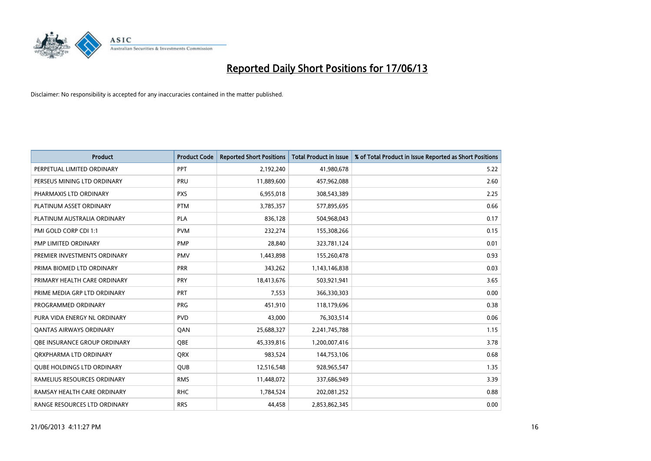

| <b>Product</b>                    | <b>Product Code</b> | <b>Reported Short Positions</b> | <b>Total Product in Issue</b> | % of Total Product in Issue Reported as Short Positions |
|-----------------------------------|---------------------|---------------------------------|-------------------------------|---------------------------------------------------------|
| PERPETUAL LIMITED ORDINARY        | PPT                 | 2,192,240                       | 41,980,678                    | 5.22                                                    |
| PERSEUS MINING LTD ORDINARY       | PRU                 | 11,889,600                      | 457,962,088                   | 2.60                                                    |
| PHARMAXIS LTD ORDINARY            | <b>PXS</b>          | 6,955,018                       | 308,543,389                   | 2.25                                                    |
| PLATINUM ASSET ORDINARY           | <b>PTM</b>          | 3,785,357                       | 577,895,695                   | 0.66                                                    |
| PLATINUM AUSTRALIA ORDINARY       | <b>PLA</b>          | 836,128                         | 504,968,043                   | 0.17                                                    |
| PMI GOLD CORP CDI 1:1             | <b>PVM</b>          | 232,274                         | 155,308,266                   | 0.15                                                    |
| PMP LIMITED ORDINARY              | <b>PMP</b>          | 28,840                          | 323,781,124                   | 0.01                                                    |
| PREMIER INVESTMENTS ORDINARY      | <b>PMV</b>          | 1,443,898                       | 155,260,478                   | 0.93                                                    |
| PRIMA BIOMED LTD ORDINARY         | <b>PRR</b>          | 343,262                         | 1,143,146,838                 | 0.03                                                    |
| PRIMARY HEALTH CARE ORDINARY      | <b>PRY</b>          | 18,413,676                      | 503,921,941                   | 3.65                                                    |
| PRIME MEDIA GRP LTD ORDINARY      | <b>PRT</b>          | 7,553                           | 366,330,303                   | 0.00                                                    |
| PROGRAMMED ORDINARY               | <b>PRG</b>          | 451,910                         | 118,179,696                   | 0.38                                                    |
| PURA VIDA ENERGY NL ORDINARY      | <b>PVD</b>          | 43,000                          | 76,303,514                    | 0.06                                                    |
| <b>QANTAS AIRWAYS ORDINARY</b>    | QAN                 | 25,688,327                      | 2,241,745,788                 | 1.15                                                    |
| OBE INSURANCE GROUP ORDINARY      | <b>OBE</b>          | 45,339,816                      | 1,200,007,416                 | 3.78                                                    |
| QRXPHARMA LTD ORDINARY            | <b>QRX</b>          | 983,524                         | 144,753,106                   | 0.68                                                    |
| <b>QUBE HOLDINGS LTD ORDINARY</b> | <b>QUB</b>          | 12,516,548                      | 928,965,547                   | 1.35                                                    |
| RAMELIUS RESOURCES ORDINARY       | <b>RMS</b>          | 11,448,072                      | 337,686,949                   | 3.39                                                    |
| RAMSAY HEALTH CARE ORDINARY       | <b>RHC</b>          | 1,784,524                       | 202,081,252                   | 0.88                                                    |
| RANGE RESOURCES LTD ORDINARY      | <b>RRS</b>          | 44,458                          | 2,853,862,345                 | 0.00                                                    |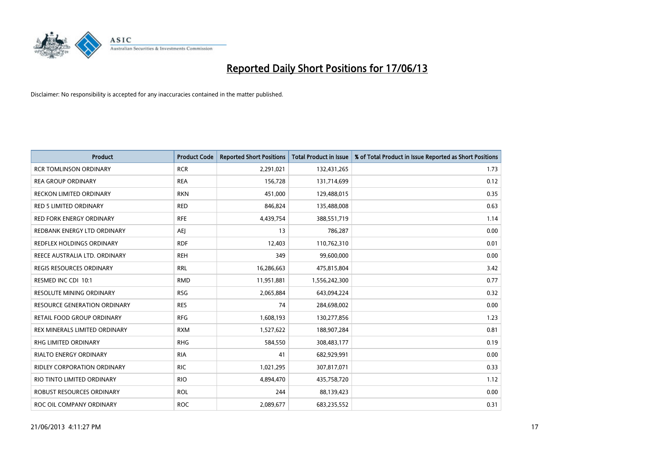

| <b>Product</b>                      | <b>Product Code</b> | <b>Reported Short Positions</b> | <b>Total Product in Issue</b> | % of Total Product in Issue Reported as Short Positions |
|-------------------------------------|---------------------|---------------------------------|-------------------------------|---------------------------------------------------------|
| <b>RCR TOMLINSON ORDINARY</b>       | <b>RCR</b>          | 2,291,021                       | 132,431,265                   | 1.73                                                    |
| <b>REA GROUP ORDINARY</b>           | <b>REA</b>          | 156,728                         | 131,714,699                   | 0.12                                                    |
| <b>RECKON LIMITED ORDINARY</b>      | <b>RKN</b>          | 451,000                         | 129,488,015                   | 0.35                                                    |
| <b>RED 5 LIMITED ORDINARY</b>       | <b>RED</b>          | 846,824                         | 135,488,008                   | 0.63                                                    |
| <b>RED FORK ENERGY ORDINARY</b>     | <b>RFE</b>          | 4,439,754                       | 388,551,719                   | 1.14                                                    |
| REDBANK ENERGY LTD ORDINARY         | <b>AEJ</b>          | 13                              | 786,287                       | 0.00                                                    |
| REDFLEX HOLDINGS ORDINARY           | <b>RDF</b>          | 12,403                          | 110,762,310                   | 0.01                                                    |
| REECE AUSTRALIA LTD. ORDINARY       | <b>REH</b>          | 349                             | 99,600,000                    | 0.00                                                    |
| <b>REGIS RESOURCES ORDINARY</b>     | <b>RRL</b>          | 16,286,663                      | 475,815,804                   | 3.42                                                    |
| RESMED INC CDI 10:1                 | <b>RMD</b>          | 11,951,881                      | 1,556,242,300                 | 0.77                                                    |
| RESOLUTE MINING ORDINARY            | <b>RSG</b>          | 2,065,884                       | 643,094,224                   | 0.32                                                    |
| <b>RESOURCE GENERATION ORDINARY</b> | <b>RES</b>          | 74                              | 284,698,002                   | 0.00                                                    |
| RETAIL FOOD GROUP ORDINARY          | <b>RFG</b>          | 1,608,193                       | 130,277,856                   | 1.23                                                    |
| REX MINERALS LIMITED ORDINARY       | <b>RXM</b>          | 1,527,622                       | 188,907,284                   | 0.81                                                    |
| <b>RHG LIMITED ORDINARY</b>         | <b>RHG</b>          | 584,550                         | 308,483,177                   | 0.19                                                    |
| RIALTO ENERGY ORDINARY              | <b>RIA</b>          | 41                              | 682,929,991                   | 0.00                                                    |
| RIDLEY CORPORATION ORDINARY         | <b>RIC</b>          | 1,021,295                       | 307,817,071                   | 0.33                                                    |
| RIO TINTO LIMITED ORDINARY          | <b>RIO</b>          | 4,894,470                       | 435,758,720                   | 1.12                                                    |
| ROBUST RESOURCES ORDINARY           | <b>ROL</b>          | 244                             | 88,139,423                    | 0.00                                                    |
| ROC OIL COMPANY ORDINARY            | <b>ROC</b>          | 2,089,677                       | 683,235,552                   | 0.31                                                    |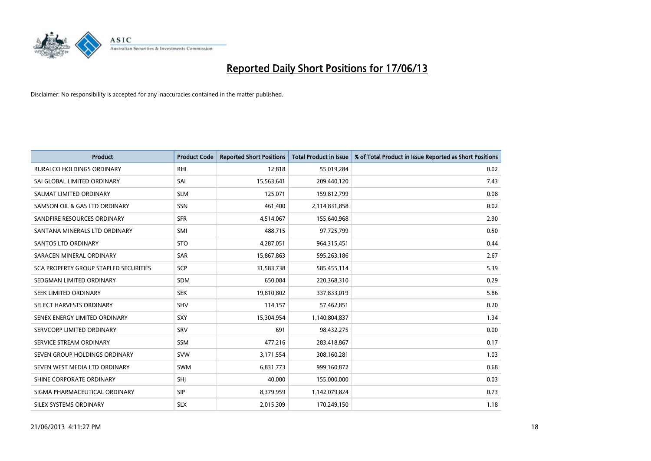

| <b>Product</b>                        | <b>Product Code</b> | <b>Reported Short Positions</b> | <b>Total Product in Issue</b> | % of Total Product in Issue Reported as Short Positions |
|---------------------------------------|---------------------|---------------------------------|-------------------------------|---------------------------------------------------------|
| <b>RURALCO HOLDINGS ORDINARY</b>      | <b>RHL</b>          | 12,818                          | 55,019,284                    | 0.02                                                    |
| SAI GLOBAL LIMITED ORDINARY           | SAI                 | 15,563,641                      | 209,440,120                   | 7.43                                                    |
| SALMAT LIMITED ORDINARY               | <b>SLM</b>          | 125,071                         | 159,812,799                   | 0.08                                                    |
| SAMSON OIL & GAS LTD ORDINARY         | SSN                 | 461,400                         | 2,114,831,858                 | 0.02                                                    |
| SANDFIRE RESOURCES ORDINARY           | <b>SFR</b>          | 4,514,067                       | 155,640,968                   | 2.90                                                    |
| SANTANA MINERALS LTD ORDINARY         | SMI                 | 488,715                         | 97,725,799                    | 0.50                                                    |
| <b>SANTOS LTD ORDINARY</b>            | <b>STO</b>          | 4,287,051                       | 964,315,451                   | 0.44                                                    |
| SARACEN MINERAL ORDINARY              | SAR                 | 15,867,863                      | 595,263,186                   | 2.67                                                    |
| SCA PROPERTY GROUP STAPLED SECURITIES | <b>SCP</b>          | 31,583,738                      | 585,455,114                   | 5.39                                                    |
| SEDGMAN LIMITED ORDINARY              | <b>SDM</b>          | 650,084                         | 220,368,310                   | 0.29                                                    |
| SEEK LIMITED ORDINARY                 | <b>SEK</b>          | 19,810,802                      | 337,833,019                   | 5.86                                                    |
| SELECT HARVESTS ORDINARY              | SHV                 | 114,157                         | 57,462,851                    | 0.20                                                    |
| SENEX ENERGY LIMITED ORDINARY         | <b>SXY</b>          | 15,304,954                      | 1,140,804,837                 | 1.34                                                    |
| SERVCORP LIMITED ORDINARY             | SRV                 | 691                             | 98,432,275                    | 0.00                                                    |
| SERVICE STREAM ORDINARY               | <b>SSM</b>          | 477,216                         | 283,418,867                   | 0.17                                                    |
| SEVEN GROUP HOLDINGS ORDINARY         | <b>SVW</b>          | 3,171,554                       | 308,160,281                   | 1.03                                                    |
| SEVEN WEST MEDIA LTD ORDINARY         | SWM                 | 6,831,773                       | 999,160,872                   | 0.68                                                    |
| SHINE CORPORATE ORDINARY              | SHJ                 | 40,000                          | 155,000,000                   | 0.03                                                    |
| SIGMA PHARMACEUTICAL ORDINARY         | <b>SIP</b>          | 8,379,959                       | 1,142,079,824                 | 0.73                                                    |
| <b>SILEX SYSTEMS ORDINARY</b>         | <b>SLX</b>          | 2,015,309                       | 170,249,150                   | 1.18                                                    |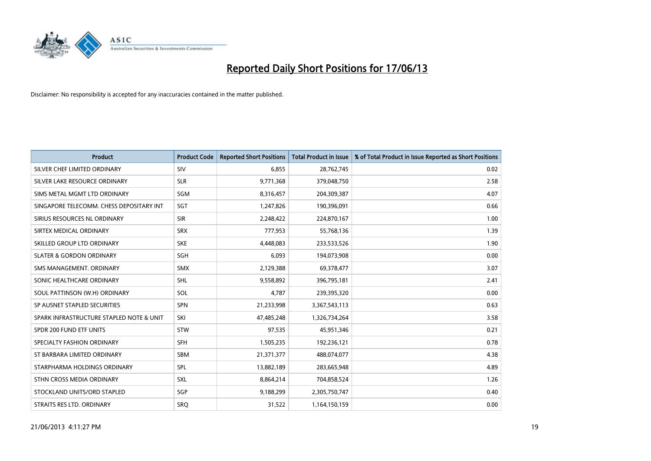

| <b>Product</b>                           | <b>Product Code</b> | <b>Reported Short Positions</b> | Total Product in Issue | % of Total Product in Issue Reported as Short Positions |
|------------------------------------------|---------------------|---------------------------------|------------------------|---------------------------------------------------------|
| SILVER CHEF LIMITED ORDINARY             | <b>SIV</b>          | 6.855                           | 28,762,745             | 0.02                                                    |
| SILVER LAKE RESOURCE ORDINARY            | <b>SLR</b>          | 9,771,368                       | 379,048,750            | 2.58                                                    |
| SIMS METAL MGMT LTD ORDINARY             | SGM                 | 8,316,457                       | 204,309,387            | 4.07                                                    |
| SINGAPORE TELECOMM. CHESS DEPOSITARY INT | <b>SGT</b>          | 1,247,826                       | 190,396,091            | 0.66                                                    |
| SIRIUS RESOURCES NL ORDINARY             | <b>SIR</b>          | 2,248,422                       | 224,870,167            | 1.00                                                    |
| SIRTEX MEDICAL ORDINARY                  | <b>SRX</b>          | 777,953                         | 55,768,136             | 1.39                                                    |
| SKILLED GROUP LTD ORDINARY               | <b>SKE</b>          | 4,448,083                       | 233,533,526            | 1.90                                                    |
| <b>SLATER &amp; GORDON ORDINARY</b>      | SGH                 | 6,093                           | 194,073,908            | 0.00                                                    |
| SMS MANAGEMENT, ORDINARY                 | <b>SMX</b>          | 2,129,388                       | 69,378,477             | 3.07                                                    |
| SONIC HEALTHCARE ORDINARY                | <b>SHL</b>          | 9,558,892                       | 396,795,181            | 2.41                                                    |
| SOUL PATTINSON (W.H) ORDINARY            | SOL                 | 4,787                           | 239,395,320            | 0.00                                                    |
| SP AUSNET STAPLED SECURITIES             | <b>SPN</b>          | 21,233,998                      | 3,367,543,113          | 0.63                                                    |
| SPARK INFRASTRUCTURE STAPLED NOTE & UNIT | SKI                 | 47,485,248                      | 1,326,734,264          | 3.58                                                    |
| SPDR 200 FUND ETF UNITS                  | <b>STW</b>          | 97,535                          | 45,951,346             | 0.21                                                    |
| SPECIALTY FASHION ORDINARY               | <b>SFH</b>          | 1,505,235                       | 192,236,121            | 0.78                                                    |
| ST BARBARA LIMITED ORDINARY              | SBM                 | 21,371,377                      | 488,074,077            | 4.38                                                    |
| STARPHARMA HOLDINGS ORDINARY             | SPL                 | 13,882,189                      | 283,665,948            | 4.89                                                    |
| STHN CROSS MEDIA ORDINARY                | <b>SXL</b>          | 8,864,214                       | 704,858,524            | 1.26                                                    |
| STOCKLAND UNITS/ORD STAPLED              | SGP                 | 9,188,299                       | 2,305,750,747          | 0.40                                                    |
| STRAITS RES LTD. ORDINARY                | <b>SRO</b>          | 31,522                          | 1,164,150,159          | 0.00                                                    |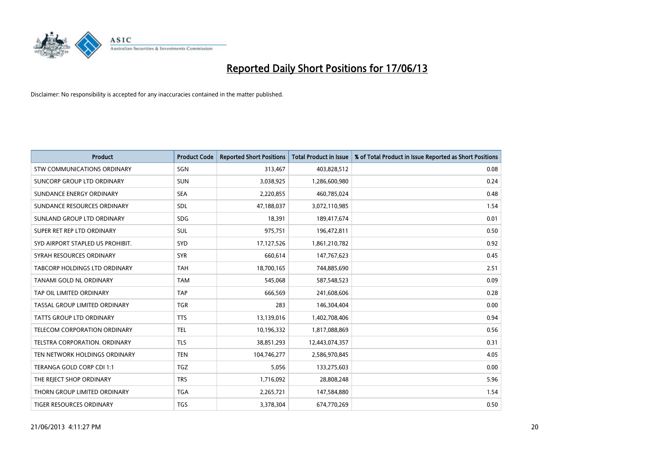

| <b>Product</b>                     | <b>Product Code</b> | <b>Reported Short Positions</b> | <b>Total Product in Issue</b> | % of Total Product in Issue Reported as Short Positions |
|------------------------------------|---------------------|---------------------------------|-------------------------------|---------------------------------------------------------|
| <b>STW COMMUNICATIONS ORDINARY</b> | SGN                 | 313,467                         | 403,828,512                   | 0.08                                                    |
| SUNCORP GROUP LTD ORDINARY         | <b>SUN</b>          | 3,038,925                       | 1,286,600,980                 | 0.24                                                    |
| SUNDANCE ENERGY ORDINARY           | <b>SEA</b>          | 2,220,855                       | 460,785,024                   | 0.48                                                    |
| SUNDANCE RESOURCES ORDINARY        | SDL                 | 47,188,037                      | 3,072,110,985                 | 1.54                                                    |
| SUNLAND GROUP LTD ORDINARY         | <b>SDG</b>          | 18,391                          | 189,417,674                   | 0.01                                                    |
| SUPER RET REP LTD ORDINARY         | SUL                 | 975,751                         | 196,472,811                   | 0.50                                                    |
| SYD AIRPORT STAPLED US PROHIBIT.   | <b>SYD</b>          | 17,127,526                      | 1,861,210,782                 | 0.92                                                    |
| SYRAH RESOURCES ORDINARY           | <b>SYR</b>          | 660,614                         | 147,767,623                   | 0.45                                                    |
| TABCORP HOLDINGS LTD ORDINARY      | <b>TAH</b>          | 18,700,165                      | 744,885,690                   | 2.51                                                    |
| TANAMI GOLD NL ORDINARY            | <b>TAM</b>          | 545,068                         | 587,548,523                   | 0.09                                                    |
| TAP OIL LIMITED ORDINARY           | <b>TAP</b>          | 666,569                         | 241,608,606                   | 0.28                                                    |
| TASSAL GROUP LIMITED ORDINARY      | <b>TGR</b>          | 283                             | 146,304,404                   | 0.00                                                    |
| TATTS GROUP LTD ORDINARY           | <b>TTS</b>          | 13,139,016                      | 1,402,708,406                 | 0.94                                                    |
| TELECOM CORPORATION ORDINARY       | <b>TEL</b>          | 10,196,332                      | 1,817,088,869                 | 0.56                                                    |
| TELSTRA CORPORATION, ORDINARY      | <b>TLS</b>          | 38,851,293                      | 12,443,074,357                | 0.31                                                    |
| TEN NETWORK HOLDINGS ORDINARY      | <b>TEN</b>          | 104,746,277                     | 2,586,970,845                 | 4.05                                                    |
| TERANGA GOLD CORP CDI 1:1          | <b>TGZ</b>          | 5,056                           | 133,275,603                   | 0.00                                                    |
| THE REJECT SHOP ORDINARY           | <b>TRS</b>          | 1,716,092                       | 28,808,248                    | 5.96                                                    |
| THORN GROUP LIMITED ORDINARY       | <b>TGA</b>          | 2,265,721                       | 147,584,880                   | 1.54                                                    |
| TIGER RESOURCES ORDINARY           | <b>TGS</b>          | 3,378,304                       | 674,770,269                   | 0.50                                                    |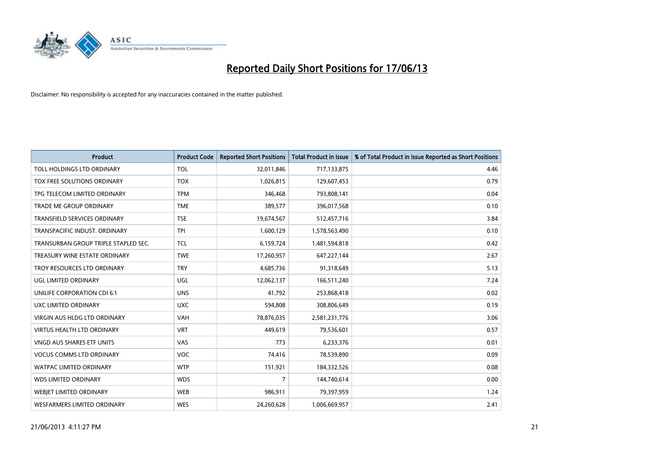

| <b>Product</b>                       | <b>Product Code</b> | <b>Reported Short Positions</b> | <b>Total Product in Issue</b> | % of Total Product in Issue Reported as Short Positions |
|--------------------------------------|---------------------|---------------------------------|-------------------------------|---------------------------------------------------------|
| TOLL HOLDINGS LTD ORDINARY           | <b>TOL</b>          | 32,011,846                      | 717,133,875                   | 4.46                                                    |
| TOX FREE SOLUTIONS ORDINARY          | <b>TOX</b>          | 1,026,815                       | 129,607,453                   | 0.79                                                    |
| TPG TELECOM LIMITED ORDINARY         | <b>TPM</b>          | 346,468                         | 793,808,141                   | 0.04                                                    |
| TRADE ME GROUP ORDINARY              | <b>TME</b>          | 389,577                         | 396,017,568                   | 0.10                                                    |
| <b>TRANSFIELD SERVICES ORDINARY</b>  | <b>TSE</b>          | 19,674,567                      | 512,457,716                   | 3.84                                                    |
| TRANSPACIFIC INDUST, ORDINARY        | <b>TPI</b>          | 1,600,129                       | 1,578,563,490                 | 0.10                                                    |
| TRANSURBAN GROUP TRIPLE STAPLED SEC. | <b>TCL</b>          | 6,159,724                       | 1,481,594,818                 | 0.42                                                    |
| TREASURY WINE ESTATE ORDINARY        | <b>TWE</b>          | 17,260,957                      | 647,227,144                   | 2.67                                                    |
| TROY RESOURCES LTD ORDINARY          | <b>TRY</b>          | 4,685,736                       | 91,318,649                    | 5.13                                                    |
| <b>UGL LIMITED ORDINARY</b>          | UGL                 | 12,062,137                      | 166,511,240                   | 7.24                                                    |
| UNILIFE CORPORATION CDI 6:1          | <b>UNS</b>          | 41,792                          | 253,868,418                   | 0.02                                                    |
| UXC LIMITED ORDINARY                 | <b>UXC</b>          | 594,808                         | 308,806,649                   | 0.19                                                    |
| <b>VIRGIN AUS HLDG LTD ORDINARY</b>  | <b>VAH</b>          | 78,876,035                      | 2,581,231,776                 | 3.06                                                    |
| VIRTUS HEALTH LTD ORDINARY           | <b>VRT</b>          | 449,619                         | 79,536,601                    | 0.57                                                    |
| <b>VNGD AUS SHARES ETF UNITS</b>     | VAS                 | 773                             | 6,233,376                     | 0.01                                                    |
| <b>VOCUS COMMS LTD ORDINARY</b>      | <b>VOC</b>          | 74,416                          | 78,539,890                    | 0.09                                                    |
| WATPAC LIMITED ORDINARY              | <b>WTP</b>          | 151,921                         | 184,332,526                   | 0.08                                                    |
| <b>WDS LIMITED ORDINARY</b>          | <b>WDS</b>          | $\overline{7}$                  | 144,740,614                   | 0.00                                                    |
| WEBJET LIMITED ORDINARY              | <b>WEB</b>          | 986,911                         | 79,397,959                    | 1.24                                                    |
| WESFARMERS LIMITED ORDINARY          | <b>WES</b>          | 24,260,628                      | 1,006,669,957                 | 2.41                                                    |